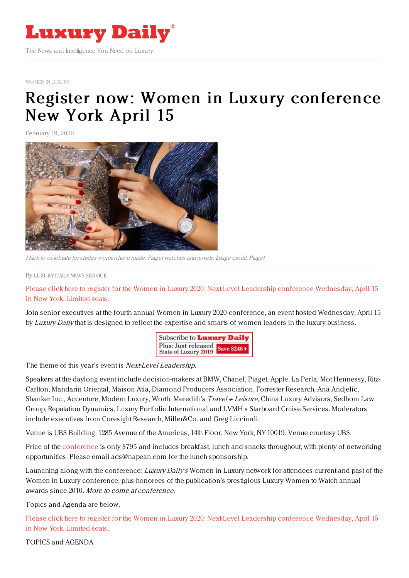

[WOMEN](https://www.luxurydaily.com/conferences/) IN LUXURY

## Register now: Women in Luxury [conference](https://www.luxurydaily.com/register-now-women-in-luxury-conference-new-york-april-15-2/) New York April 15

February 19, 2020



Much to celebrate forstrides women have made: Piaget watches and jewels. Image credit: Piaget

By LUXURY DAILY NEWS [SERVICE](file:///author/luxury-daily-news-service)

Please click here to register for the Women in Luxury 2020: Next-Level Leadership conference [Wednesday,](https://www.luxurydaily.com/conference-page/) April 15 in New York. Limited seats.

Join senior executives at the fourth annual Women in Luxury 2020 conference, an event hosted Wednesday, April 15 by Luxury Daily that is designed to reflect the expertise and smarts of women leaders in the luxury business.



The theme of this year's event is *Next-Level Leadership.* 

Speakers at the daylong event include decision-makers at BMW, Chanel, Piaget, Apple, La Perla, Mot Hennessy, Ritz-Carlton, Mandarin Oriental, Maison Atia, Diamond Producers Association, Forrester Research, Ana Andjelic, Shanker Inc., Accenture, Modern Luxury, Worth, Meredith's Travel + Leisure, China Luxury Advisors, Sedhom Law Group, Reputation Dynamics, Luxury Portfolio International and LVMH's Starboard Cruise Services. Moderators include executives from Coresight Research, Miller&Co. and Greg Licciardi.

Venue is UBS Building, 1285 Avenue of the Americas, 14th Floor, New York, NY 10019. Venue courtesy UBS.

Price of the [conference](https://www.luxurydaily.com/conference-page/) is only \$795 and includes breakfast, lunch and snacks throughout, with plenty of networking opportunities. Please email ads@napean.com for the lunch sponsorship.

Launching along with the conference: Luxury Daily's Women in Luxury network for attendees current and past of the Women in Luxury conference, plus honorees of the publication's prestigious Luxury Women to Watch annual awards since 2010. More to come at conference.

Topics and Agenda are below.

Please click here to register for the Women in Luxury 2020: Next-Level Leadership conference [Wednesday,](https://www.luxurydaily.com/conference-page/) April 15 in New York. Limited seats.

TOPICS and AGENDA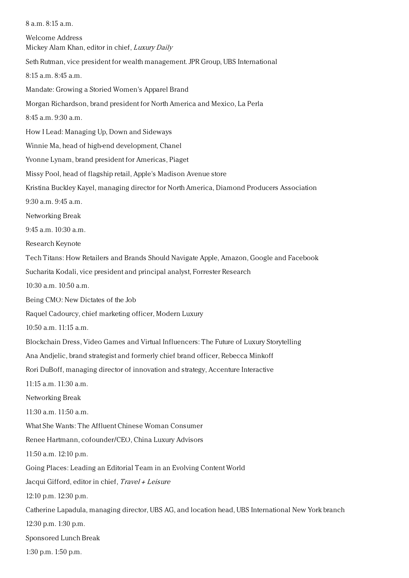8 a.m. 8:15 a.m. Welcome Address Mickey Alam Khan, editor in chief, Luxury Daily Seth Rutman, vice president for wealth management. JPR Group, UBS International 8:15 a.m. 8:45 a.m. Mandate: Growing a Storied Women's Apparel Brand Morgan Richardson, brand president for North America and Mexico, La Perla 8:45 a.m. 9:30 a.m. How I Lead: Managing Up, Down and Sideways Winnie Ma, head of high-end development, Chanel Yvonne Lynam, brand president for Americas, Piaget Missy Pool, head of flagship retail, Apple's Madison Avenue store Kristina Buckley Kayel, managing director for North America, Diamond Producers Association 9:30 a.m. 9:45 a.m. Networking Break 9:45 a.m. 10:30 a.m. Research Keynote Tech Titans: How Retailers and Brands Should Navigate Apple, Amazon, Google and Facebook Sucharita Kodali, vice president and principal analyst, Forrester Research 10:30 a.m. 10:50 a.m. Being CMO: New Dictates of the Job Raquel Cadourcy, chief marketing officer, Modern Luxury 10:50 a.m. 11:15 a.m. Blockchain Dress, Video Games and Virtual Influencers: The Future of Luxury Storytelling Ana Andjelic, brand strategist and formerly chief brand officer, Rebecca Minkoff Rori DuBoff, managing director of innovation and strategy, Accenture Interactive 11:15 a.m. 11:30 a.m. Networking Break 11:30 a.m. 11:50 a.m. What She Wants: The Affluent Chinese Woman Consumer Renee Hartmann, cofounder/CEO, China Luxury Advisors 11:50 a.m. 12:10 p.m. Going Places: Leading an Editorial Team in an Evolving Content World Jacqui Gifford, editor in chief, Travel <sup>+</sup> Leisure 12:10 p.m. 12:30 p.m. Catherine Lapadula, managing director, UBS AG, and location head, UBS International New York branch 12:30 p.m. 1:30 p.m. Sponsored Lunch Break 1:30 p.m. 1:50 p.m.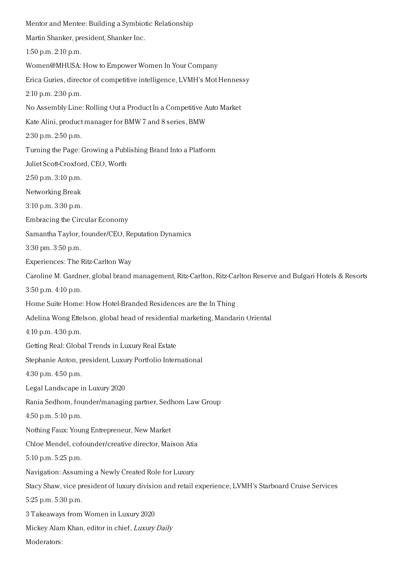Mentor and Mentee: Building a Symbiotic Relationship Martin Shanker, president, Shanker Inc. 1:50 p.m. 2:10 p.m. Women@MHUSA: How to Empower Women In Your Company Erica Guries, director of competitive intelligence, LVMH's Mot Hennessy 2:10 p.m. 2:30 p.m. No Assembly Line: Rolling Out a Product In a Competitive Auto Market Kate Alini, product manager for BMW 7 and 8 series, BMW 2:30 p.m. 2:50 p.m. Turning the Page: Growing a Publishing Brand Into a Platform Juliet Scott-Croxford, CEO, Worth 2:50 p.m. 3:10 p.m. Networking Break 3:10 p.m. 3:30 p.m. Embracing the Circular Economy Samantha Taylor, founder/CEO, Reputation Dynamics 3:30 pm. 3:50 p.m. Experiences: The Ritz-Carlton Way Caroline M. Gardner, global brand management, Ritz-Carlton, Ritz-Carlton Reserve and Bulgari Hotels & Resorts 3:50 p.m. 4:10 p.m. Home Suite Home: How Hotel-Branded Residences are the In Thing Adelina Wong Ettelson, global head of residential marketing, Mandarin Oriental 4:10 p.m. 4:30 p.m. Getting Real: Global Trends in Luxury Real Estate Stephanie Anton, president, Luxury Portfolio International 4:30 p.m. 4:50 p.m. Legal Landscape in Luxury 2020 Rania Sedhom, founder/managing partner, Sedhom Law Group 4:50 p.m. 5:10 p.m. Nothing Faux: Young Entrepreneur, New Market Chloe Mendel, cofounder/creative director, Maison Atia 5:10 p.m. 5:25 p.m. Navigation: Assuming a Newly Created Role for Luxury Stacy Shaw, vice president of luxury division and retail experience, LVMH's Starboard Cruise Services 5:25 p.m. 5:30 p.m. 3 Takeaways from Women in Luxury 2020 Mickey Alam Khan, editor in chief, Luxury Daily Moderators: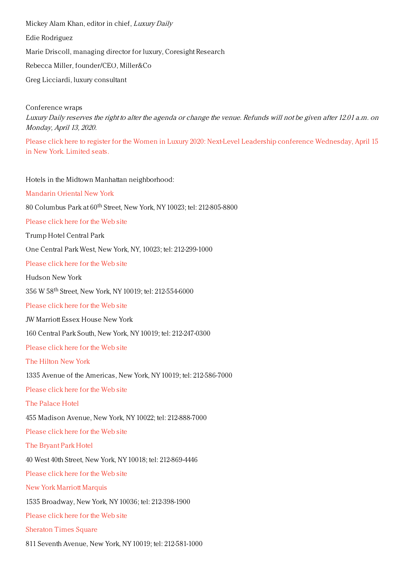Mickey Alam Khan, editor in chief, Luxury Daily Edie Rodriguez Marie Driscoll, managing director for luxury, Coresight Research Rebecca Miller, founder/CEO, Miller&Co Greg Licciardi, luxury consultant

Conference wraps Luxury Daily reserves the right to alter the agenda or change the venue. Refunds will not be given after 12.01 a.m. on Monday, April 13, 2020.

Please click here to register for the Women in Luxury 2020: Next-Level Leadership conference [Wednesday,](https://www.luxurydaily.com/conference-page/) April 15 in New York. Limited seats.

Hotels in the Midtown Manhattan neighborhood:

[Mandarin](http://www.mandarinoriental.com/newyork/?htl=MONYC&eng=google&src=local) Oriental New York

 $80$  Columbus Park at  $60^{\rm th}$  Street, New York, NY 10023; tel: 212-805-8800

[Please](http://www.mandarinoriental.com/newyork/?htl=MONYC&eng=google&src=local) click here for the Web site

Trump Hotel Central Park

One Central Park West, New York, NY, 10023; tel: 212-299-1000

[Please](https://www.trumphotelcollection.com/central-park/) click here for the Web site

Hudson New York

356 W 58<sup>th</sup> Street, New York, NY 10019; tel: 212-554-6000

[Please](https://www.morganshotelgroup.com/hudson/hudson-new-york) click here for the Web site

JW Marriott Essex House New York

160 Central Park South, New York, NY 10019; tel: 212-247-0300

[Please](http://www.marriott.com/hotels/travel/nycex-jw-marriott-essex-house-new-york/) click here for the Web site

The [Hilton](http://www.newyorkhiltonhotel.com/) New York

1335 Avenue of the Americas, New York, NY 10019; tel: 212-586-7000

[Please](http://www.newyorkhiltonhotel.com/) click here for the Web site

The [Palace](http://www.newyorkpalace.com/) Hotel

455 Madison Avenue, New York, NY 10022; tel: 212-888-7000

[Please](http://www.newyorkpalace.com/) click here for the Web site

The [Bryant](http://www.bryantparkhotel.com/) Park Hotel

40 West 40th Street, New York, NY 10018; tel: 212-869-4446

[Please](http://www.bryantparkhotel.com/) click here for the Web site

New York Marriott [Marquis](http://www.marriott.com/hotels/travel/nycmq-new-york-marriott-marquis/)

1535 Broadway, New York, NY 10036; tel: 212-398-1900

[Please](http://www.marriott.com/hotels/travel/nycmq-new-york-marriott-marquis/) click here for the Web site

[Sheraton](http://www.sheratonnewyork.com/) Times Square

811 Seventh Avenue, New York, NY 10019; tel: 212-581-1000